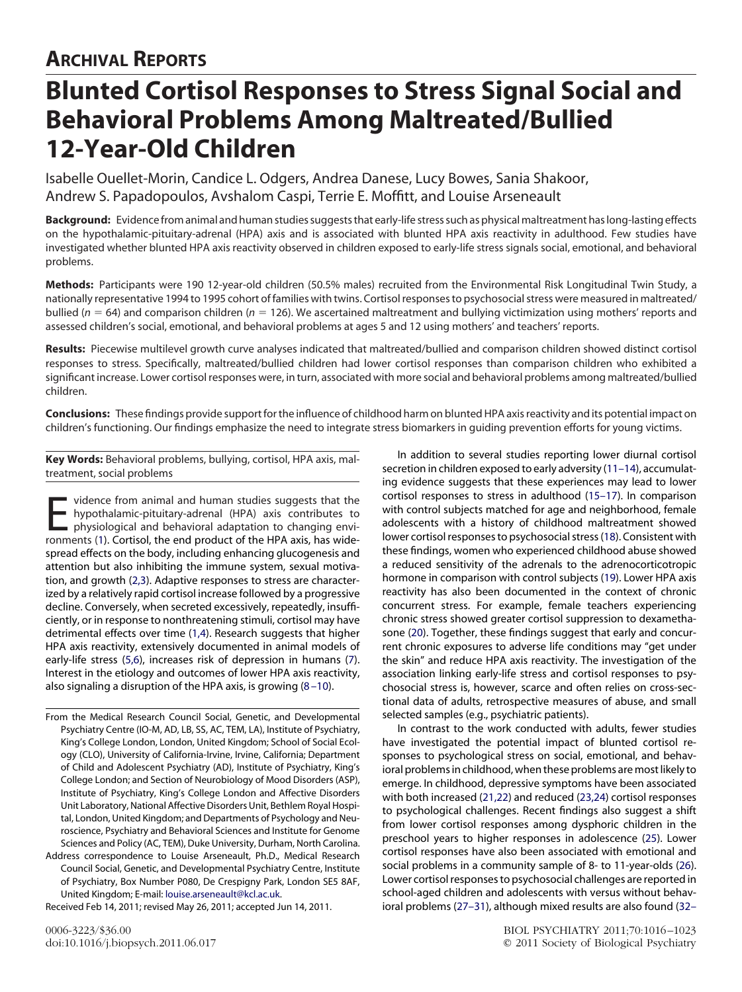# **Blunted Cortisol Responses to Stress Signal Social and Behavioral Problems Among Maltreated/Bullied 12-Year-Old Children**

Isabelle Ouellet-Morin, Candice L. Odgers, Andrea Danese, Lucy Bowes, Sania Shakoor, Andrew S. Papadopoulos, Avshalom Caspi, Terrie E. Moffitt, and Louise Arseneault

**Background:** Evidencefrom animal and human studies suggests that early-life stress such as physical maltreatment has long-lasting effects on the hypothalamic-pituitary-adrenal (HPA) axis and is associated with blunted HPA axis reactivity in adulthood. Few studies have investigated whether blunted HPA axis reactivity observed in children exposed to early-life stress signals social, emotional, and behavioral problems.

**Methods:** Participants were 190 12-year-old children (50.5% males) recruited from the Environmental Risk Longitudinal Twin Study, a nationally representative 1994 to 1995 cohort of families with twins. Cortisol responses to psychosocial stress were measured in maltreated/ bullied (*n* 64) and comparison children (*n* 126). We ascertained maltreatment and bullying victimization using mothers' reports and assessed children's social, emotional, and behavioral problems at ages 5 and 12 using mothers' and teachers' reports.

**Results:** Piecewise multilevel growth curve analyses indicated that maltreated/bullied and comparison children showed distinct cortisol responses to stress. Specifically, maltreated/bullied children had lower cortisol responses than comparison children who exhibited a significant increase. Lower cortisol responses were, in turn, associated with more social and behavioral problems among maltreated/bullied children.

**Conclusions:** These findings provide support for the influence of childhood harm on blunted HPA axis reactivity and its potential impact on children's functioning. Our findings emphasize the need to integrate stress biomarkers in guiding prevention efforts for young victims.

**Key Words:** Behavioral problems, bullying, cortisol, HPA axis, maltreatment, social problems

vidence from animal and human studies suggests that the hypothalamic-pituitary-adrenal (HPA) axis contributes to physiological and behavioral adaptation to changing environments [\(1\)](#page-6-0). Cortisol, the end product of the HPA axis, has widespread effects on the body, including enhancing glucogenesis and attention but also inhibiting the immune system, sexual motivation, and growth [\(2,3\)](#page-6-1). Adaptive responses to stress are characterized by a relatively rapid cortisol increase followed by a progressive decline. Conversely, when secreted excessively, repeatedly, insufficiently, or in response to nonthreatening stimuli, cortisol may have detrimental effects over time [\(1,4\)](#page-6-0). Research suggests that higher HPA axis reactivity, extensively documented in animal models of early-life stress [\(5,6\)](#page-6-2), increases risk of depression in humans [\(7\)](#page-6-3). Interest in the etiology and outcomes of lower HPA axis reactivity, also signaling a disruption of the HPA axis, is growing [\(8 –10\)](#page-6-4).

From the Medical Research Council Social, Genetic, and Developmental Psychiatry Centre (IO-M, AD, LB, SS, AC, TEM, LA), Institute of Psychiatry, King's College London, London, United Kingdom; School of Social Ecology (CLO), University of California-Irvine, Irvine, California; Department of Child and Adolescent Psychiatry (AD), Institute of Psychiatry, King's College London; and Section of Neurobiology of Mood Disorders (ASP), Institute of Psychiatry, King's College London and Affective Disorders Unit Laboratory, National Affective Disorders Unit, Bethlem Royal Hospital, London, United Kingdom; and Departments of Psychology and Neuroscience, Psychiatry and Behavioral Sciences and Institute for Genome Sciences and Policy (AC, TEM), Duke University, Durham, North Carolina.

Address correspondence to Louise Arseneault, Ph.D., Medical Research Council Social, Genetic, and Developmental Psychiatry Centre, Institute of Psychiatry, Box Number P080, De Crespigny Park, London SE5 8AF, United Kingdom; E-mail: [louise.arseneault@kcl.ac.uk.](mailto:louise.arseneault@kcl.ac.uk)

Received Feb 14, 2011; revised May 26, 2011; accepted Jun 14, 2011.

In addition to several studies reporting lower diurnal cortisol secretion in children exposed to early adversity [\(11–14\)](#page-6-5), accumulating evidence suggests that these experiences may lead to lower cortisol responses to stress in adulthood [\(15–17\)](#page-6-6). In comparison with control subjects matched for age and neighborhood, female adolescents with a history of childhood maltreatment showed lower cortisol responses to psychosocial stress [\(18\)](#page-6-7). Consistent with these findings, women who experienced childhood abuse showed a reduced sensitivity of the adrenals to the adrenocorticotropic hormone in comparison with control subjects [\(19\)](#page-6-8). Lower HPA axis reactivity has also been documented in the context of chronic concurrent stress. For example, female teachers experiencing chronic stress showed greater cortisol suppression to dexamethasone [\(20\)](#page-6-9). Together, these findings suggest that early and concurrent chronic exposures to adverse life conditions may "get under the skin" and reduce HPA axis reactivity. The investigation of the association linking early-life stress and cortisol responses to psychosocial stress is, however, scarce and often relies on cross-sectional data of adults, retrospective measures of abuse, and small selected samples (e.g., psychiatric patients).

In contrast to the work conducted with adults, fewer studies have investigated the potential impact of blunted cortisol responses to psychological stress on social, emotional, and behavioral problems in childhood, when these problems are most likely to emerge. In childhood, depressive symptoms have been associated with both increased [\(21,22\)](#page-6-10) and reduced [\(23,24\)](#page-6-11) cortisol responses to psychological challenges. Recent findings also suggest a shift from lower cortisol responses among dysphoric children in the preschool years to higher responses in adolescence [\(25\)](#page-6-12). Lower cortisol responses have also been associated with emotional and social problems in a community sample of 8- to 11-year-olds [\(26\)](#page-6-13). Lower cortisol responses to psychosocial challenges are reported in school-aged children and adolescents with versus without behavioral problems [\(27–31\)](#page-6-14), although mixed results are also found [\(32–](#page-6-15)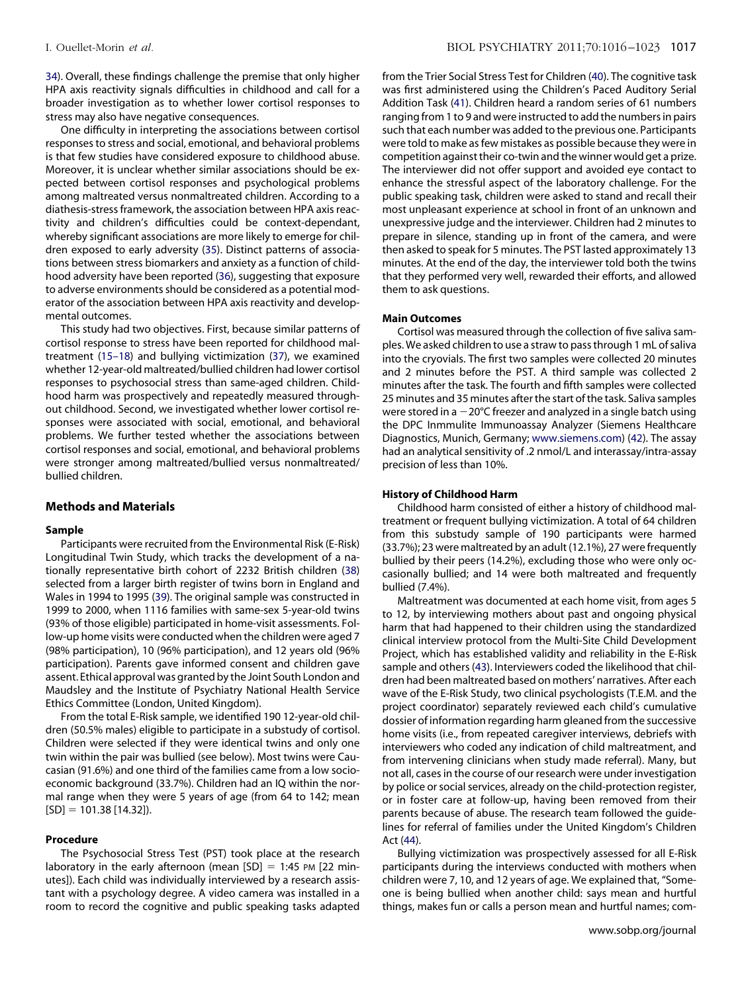[34\)](#page-6-15). Overall, these findings challenge the premise that only higher HPA axis reactivity signals difficulties in childhood and call for a broader investigation as to whether lower cortisol responses to stress may also have negative consequences.

One difficulty in interpreting the associations between cortisol responses to stress and social, emotional, and behavioral problems is that few studies have considered exposure to childhood abuse. Moreover, it is unclear whether similar associations should be expected between cortisol responses and psychological problems among maltreated versus nonmaltreated children. According to a diathesis-stress framework, the association between HPA axis reactivity and children's difficulties could be context-dependant, whereby significant associations are more likely to emerge for children exposed to early adversity [\(35\)](#page-7-0). Distinct patterns of associations between stress biomarkers and anxiety as a function of childhood adversity have been reported [\(36\)](#page-7-1), suggesting that exposure to adverse environments should be considered as a potential moderator of the association between HPA axis reactivity and developmental outcomes.

This study had two objectives. First, because similar patterns of cortisol response to stress have been reported for childhood maltreatment [\(15–18\)](#page-6-6) and bullying victimization [\(37\)](#page-7-2), we examined whether 12-year-old maltreated/bullied children had lower cortisol responses to psychosocial stress than same-aged children. Childhood harm was prospectively and repeatedly measured throughout childhood. Second, we investigated whether lower cortisol responses were associated with social, emotional, and behavioral problems. We further tested whether the associations between cortisol responses and social, emotional, and behavioral problems were stronger among maltreated/bullied versus nonmaltreated/ bullied children.

## **Methods and Materials**

#### **Sample**

Participants were recruited from the Environmental Risk (E-Risk) Longitudinal Twin Study, which tracks the development of a nationally representative birth cohort of 2232 British children [\(38\)](#page-7-3) selected from a larger birth register of twins born in England and Wales in 1994 to 1995 [\(39\)](#page-7-4). The original sample was constructed in 1999 to 2000, when 1116 families with same-sex 5-year-old twins (93% of those eligible) participated in home-visit assessments. Follow-up home visits were conducted when the children were aged 7 (98% participation), 10 (96% participation), and 12 years old (96% participation). Parents gave informed consent and children gave assent. Ethical approval was granted by the Joint South London and Maudsley and the Institute of Psychiatry National Health Service Ethics Committee (London, United Kingdom).

From the total E-Risk sample, we identified 190 12-year-old children (50.5% males) eligible to participate in a substudy of cortisol. Children were selected if they were identical twins and only one twin within the pair was bullied (see below). Most twins were Caucasian (91.6%) and one third of the families came from a low socioeconomic background (33.7%). Children had an IQ within the normal range when they were 5 years of age (from 64 to 142; mean  $[SD] = 101.38 [14.32]$ .

#### **Procedure**

The Psychosocial Stress Test (PST) took place at the research laboratory in the early afternoon (mean  $[SD] = 1:45$  PM  $[22$  minutes]). Each child was individually interviewed by a research assistant with a psychology degree. A video camera was installed in a room to record the cognitive and public speaking tasks adapted from the Trier Social Stress Test for Children [\(40\)](#page-7-5). The cognitive task was first administered using the Children's Paced Auditory Serial Addition Task [\(41\)](#page-7-6). Children heard a random series of 61 numbers ranging from 1 to 9 and were instructed to add the numbers in pairs such that each number was added to the previous one. Participants were told to make as few mistakes as possible because they were in competition against their co-twin and the winner would get a prize. The interviewer did not offer support and avoided eye contact to enhance the stressful aspect of the laboratory challenge. For the public speaking task, children were asked to stand and recall their most unpleasant experience at school in front of an unknown and unexpressive judge and the interviewer. Children had 2 minutes to prepare in silence, standing up in front of the camera, and were then asked to speak for 5 minutes. The PST lasted approximately 13 minutes. At the end of the day, the interviewer told both the twins that they performed very well, rewarded their efforts, and allowed them to ask questions.

## **Main Outcomes**

Cortisol was measured through the collection of five saliva samples. We asked children to use a straw to pass through 1 mL of saliva into the cryovials. The first two samples were collected 20 minutes and 2 minutes before the PST. A third sample was collected 2 minutes after the task. The fourth and fifth samples were collected 25 minutes and 35 minutes after the start of the task. Saliva samples were stored in a  $-$  20°C freezer and analyzed in a single batch using the DPC Inmmulite Immunoassay Analyzer (Siemens Healthcare Diagnostics, Munich, Germany; [www.siemens.com\)](http://www.siemens.com) [\(42\)](#page-7-7). The assay had an analytical sensitivity of .2 nmol/L and interassay/intra-assay precision of less than 10%.

#### **History of Childhood Harm**

Childhood harm consisted of either a history of childhood maltreatment or frequent bullying victimization. A total of 64 children from this substudy sample of 190 participants were harmed (33.7%); 23 were maltreated by an adult (12.1%), 27 were frequently bullied by their peers (14.2%), excluding those who were only occasionally bullied; and 14 were both maltreated and frequently bullied (7.4%).

Maltreatment was documented at each home visit, from ages 5 to 12, by interviewing mothers about past and ongoing physical harm that had happened to their children using the standardized clinical interview protocol from the Multi-Site Child Development Project, which has established validity and reliability in the E-Risk sample and others [\(43\)](#page-7-8). Interviewers coded the likelihood that children had been maltreated based on mothers' narratives. After each wave of the E-Risk Study, two clinical psychologists (T.E.M. and the project coordinator) separately reviewed each child's cumulative dossier of information regarding harm gleaned from the successive home visits (i.e., from repeated caregiver interviews, debriefs with interviewers who coded any indication of child maltreatment, and from intervening clinicians when study made referral). Many, but not all, cases in the course of our research were under investigation by police or social services, already on the child-protection register, or in foster care at follow-up, having been removed from their parents because of abuse. The research team followed the guidelines for referral of families under the United Kingdom's Children Act [\(44\)](#page-7-9).

Bullying victimization was prospectively assessed for all E-Risk participants during the interviews conducted with mothers when children were 7, 10, and 12 years of age. We explained that, "Someone is being bullied when another child: says mean and hurtful things, makes fun or calls a person mean and hurtful names; com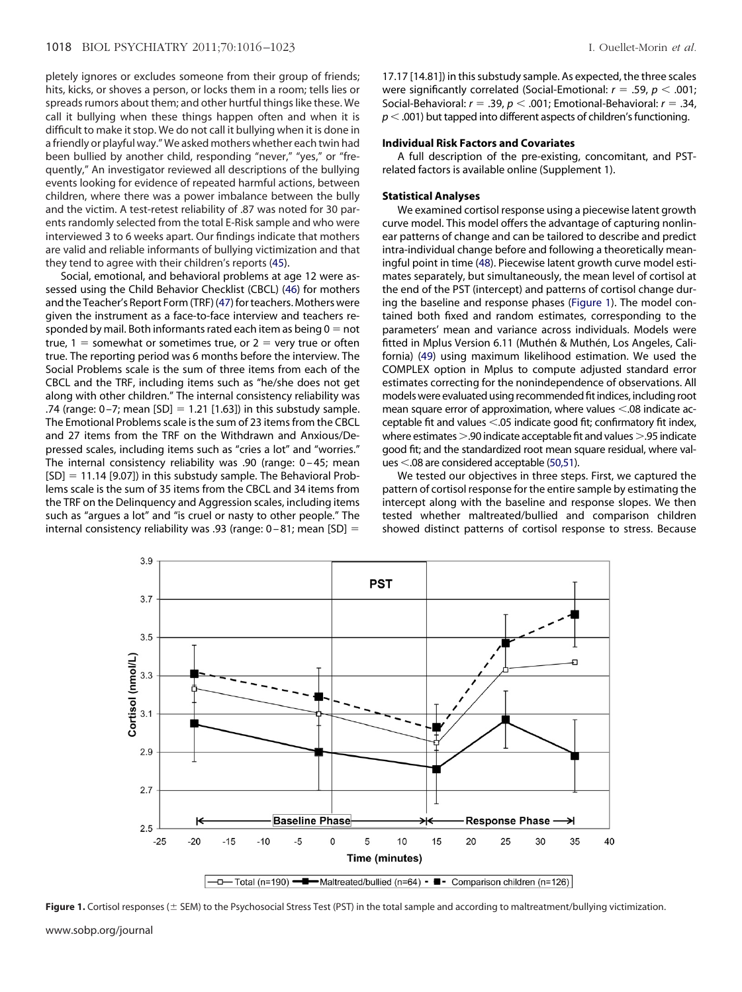pletely ignores or excludes someone from their group of friends; hits, kicks, or shoves a person, or locks them in a room; tells lies or spreads rumors about them; and other hurtful things like these. We call it bullying when these things happen often and when it is difficult to make it stop. We do not call it bullying when it is done in a friendly or playful way." We asked mothers whether each twin had been bullied by another child, responding "never," "yes," or "frequently," An investigator reviewed all descriptions of the bullying events looking for evidence of repeated harmful actions, between children, where there was a power imbalance between the bully and the victim. A test-retest reliability of .87 was noted for 30 parents randomly selected from the total E-Risk sample and who were interviewed 3 to 6 weeks apart. Our findings indicate that mothers are valid and reliable informants of bullying victimization and that they tend to agree with their children's reports [\(45\)](#page-7-10).

Social, emotional, and behavioral problems at age 12 were assessed using the Child Behavior Checklist (CBCL) [\(46\)](#page-7-11) for mothers and the Teacher's Report Form (TRF) [\(47\)](#page-7-12) for teachers. Mothers were given the instrument as a face-to-face interview and teachers responded by mail. Both informants rated each item as being  $0 = not$ true,  $1 =$  somewhat or sometimes true, or  $2 =$  very true or often true. The reporting period was 6 months before the interview. The Social Problems scale is the sum of three items from each of the CBCL and the TRF, including items such as "he/she does not get along with other children." The internal consistency reliability was .74 (range:  $0 - 7$ ; mean [SD] = 1.21 [1.63]) in this substudy sample. The Emotional Problems scale is the sum of 23 items from the CBCL and 27 items from the TRF on the Withdrawn and Anxious/Depressed scales, including items such as "cries a lot" and "worries." The internal consistency reliability was .90 (range: 0 – 45; mean  $[SD] = 11.14 [9.07]$ ) in this substudy sample. The Behavioral Problems scale is the sum of 35 items from the CBCL and 34 items from the TRF on the Delinquency and Aggression scales, including items such as "argues a lot" and "is cruel or nasty to other people." The internal consistency reliability was .93 (range:  $0 - 81$ ; mean [SD] =

17.17 [14.81]) in this substudy sample. As expected, the three scales were significantly correlated (Social-Emotional:  $r = .59$ ,  $p < .001$ ; Social-Behavioral:  $r = .39$ ,  $p < .001$ ; Emotional-Behavioral:  $r = .34$ ,  $p$   $<$  .001) but tapped into different aspects of children's functioning.

# **Individual Risk Factors and Covariates**

A full description of the pre-existing, concomitant, and PSTrelated factors is available online (Supplement 1).

#### **Statistical Analyses**

We examined cortisol response using a piecewise latent growth curve model. This model offers the advantage of capturing nonlinear patterns of change and can be tailored to describe and predict intra-individual change before and following a theoretically meaningful point in time [\(48\)](#page-7-13). Piecewise latent growth curve model estimates separately, but simultaneously, the mean level of cortisol at the end of the PST (intercept) and patterns of cortisol change during the baseline and response phases [\(Figure 1\)](#page-2-0). The model contained both fixed and random estimates, corresponding to the parameters' mean and variance across individuals. Models were fitted in Mplus Version 6.11 (Muthén & Muthén, Los Angeles, California) [\(49\)](#page-7-14) using maximum likelihood estimation. We used the COMPLEX option in Mplus to compute adjusted standard error estimates correcting for the nonindependence of observations. All models were evaluated using recommended fit indices, including root mean square error of approximation, where values  $<$  08 indicate acceptable fit and values  $< 0.05$  indicate good fit; confirmatory fit index, where estimates  $>$ .90 indicate acceptable fit and values  $>$ .95 indicate good fit; and the standardized root mean square residual, where values  $<$ .08 are considered acceptable [\(50,51\)](#page-7-15).

We tested our objectives in three steps. First, we captured the pattern of cortisol response for the entire sample by estimating the intercept along with the baseline and response slopes. We then tested whether maltreated/bullied and comparison children showed distinct patterns of cortisol response to stress. Because



<span id="page-2-0"></span>Figure 1. Cortisol responses ( $\pm$  SEM) to the Psychosocial Stress Test (PST) in the total sample and according to maltreatment/bullying victimization.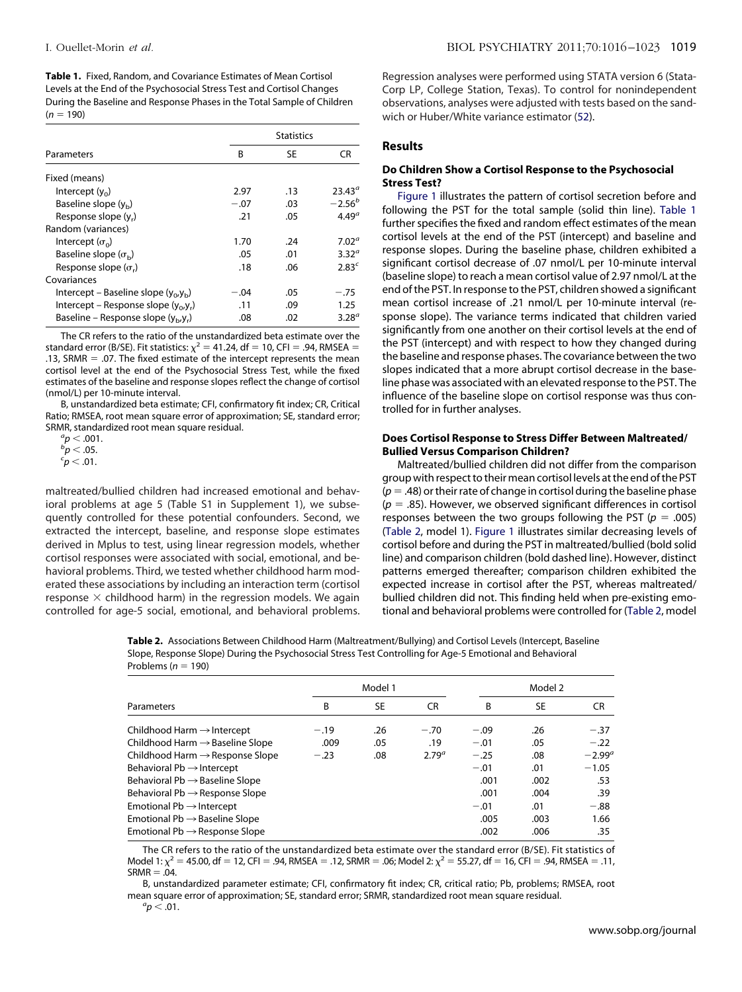<span id="page-3-0"></span>**Table 1.** Fixed, Random, and Covariance Estimates of Mean Cortisol Levels at the End of the Psychosocial Stress Test and Cortisol Changes During the Baseline and Response Phases in the Total Sample of Children  $(n = 190)$ 

|                                         |        | <b>Statistics</b> |                   |  |  |
|-----------------------------------------|--------|-------------------|-------------------|--|--|
| Parameters                              | R      | SE                | CR                |  |  |
| Fixed (means)                           |        |                   |                   |  |  |
| Intercept $(y_0)$                       | 2.97   | .13               | $23.43^a$         |  |  |
| Baseline slope $(y_h)$                  | $-.07$ | .03               | $-2.56^{b}$       |  |  |
| Response slope (y,)                     | .21    | .05               | $4.49^{a}$        |  |  |
| Random (variances)                      |        |                   |                   |  |  |
| Intercept $(\sigma_0)$                  | 1.70   | .24               | 7.02 <sup>a</sup> |  |  |
| Baseline slope $(\sigma_{\rm b})$       | .05    | .01               | $3.32^{a}$        |  |  |
| Response slope $(\sigma_r)$             | .18    | .06               | 2.83 <sup>c</sup> |  |  |
| Covariances                             |        |                   |                   |  |  |
| Intercept – Baseline slope $(y_0, y_0)$ | $-.04$ | .05               | $-.75$            |  |  |
| Intercept – Response slope $(y_0, y_0)$ | .11    | .09               | 1.25              |  |  |
| Baseline – Response slope $(y_n,y_n)$   | .08    | .02               | 3.28 <sup>a</sup> |  |  |

The CR refers to the ratio of the unstandardized beta estimate over the standard error (B/SE). Fit statistics:  $\chi^2 = 41.24$ , df = 10, CFI = .94, RMSEA = .13, SRMR  $=$  .07. The fixed estimate of the intercept represents the mean cortisol level at the end of the Psychosocial Stress Test, while the fixed estimates of the baseline and response slopes reflect the change of cortisol (nmol/L) per 10-minute interval.

B, unstandardized beta estimate; CFI, confirmatory fit index; CR, Critical Ratio; RMSEA, root mean square error of approximation; SE, standard error; SRMR, standardized root mean square residual. *<sup>a</sup>*

 ${}^{a}p$  < .001.

 $p^{b}$ *p*  $< .05$ .

 $\epsilon_p$  < .01.

maltreated/bullied children had increased emotional and behavioral problems at age 5 (Table S1 in Supplement 1), we subsequently controlled for these potential confounders. Second, we extracted the intercept, baseline, and response slope estimates derived in Mplus to test, using linear regression models, whether cortisol responses were associated with social, emotional, and behavioral problems. Third, we tested whether childhood harm moderated these associations by including an interaction term (cortisol response  $\times$  childhood harm) in the regression models. We again controlled for age-5 social, emotional, and behavioral problems.

Regression analyses were performed using STATA version 6 (Stata-Corp LP, College Station, Texas). To control for nonindependent observations, analyses were adjusted with tests based on the sandwich or Huber/White variance estimator [\(52\)](#page-7-16).

#### **Results**

#### **Do Children Show a Cortisol Response to the Psychosocial Stress Test?**

[Figure 1](#page-2-0) illustrates the pattern of cortisol secretion before and following the PST for the total sample (solid thin line). [Table 1](#page-3-0) further specifies the fixed and random effect estimates of the mean cortisol levels at the end of the PST (intercept) and baseline and response slopes. During the baseline phase, children exhibited a significant cortisol decrease of .07 nmol/L per 10-minute interval (baseline slope) to reach a mean cortisol value of 2.97 nmol/L at the end of the PST. In response to the PST, children showed a significant mean cortisol increase of .21 nmol/L per 10-minute interval (response slope). The variance terms indicated that children varied significantly from one another on their cortisol levels at the end of the PST (intercept) and with respect to how they changed during the baseline and response phases. The covariance between the two slopes indicated that a more abrupt cortisol decrease in the baseline phase was associated with an elevated response to the PST. The influence of the baseline slope on cortisol response was thus controlled for in further analyses.

## **Does Cortisol Response to Stress Differ Between Maltreated/ Bullied Versus Comparison Children?**

Maltreated/bullied children did not differ from the comparison group with respect to their mean cortisol levels at the end of the PST  $(p = .48)$  or their rate of change in cortisol during the baseline phase  $(p = .85)$ . However, we observed significant differences in cortisol responses between the two groups following the PST ( $p = .005$ ) [\(Table 2,](#page-3-1) model 1). [Figure 1](#page-2-0) illustrates similar decreasing levels of cortisol before and during the PST in maltreated/bullied (bold solid line) and comparison children (bold dashed line). However, distinct patterns emerged thereafter; comparison children exhibited the expected increase in cortisol after the PST, whereas maltreated/ bullied children did not. This finding held when pre-existing emotional and behavioral problems were controlled for [\(Table 2,](#page-3-1) model

<span id="page-3-1"></span>**Table 2.** Associations Between Childhood Harm (Maltreatment/Bullying) and Cortisol Levels (Intercept, Baseline Slope, Response Slope) During the Psychosocial Stress Test Controlling for Age-5 Emotional and Behavioral Problems ( $n = 190$ )

| Parameters                                  | Model 1 |           |            | Model 2 |      |             |
|---------------------------------------------|---------|-----------|------------|---------|------|-------------|
|                                             | B       | <b>SE</b> | CR         | B       | SE.  | CR          |
| Childhood Harm $\rightarrow$ Intercept      | $-.19$  | .26       | $-.70$     | $-.09$  | .26  | $-.37$      |
| Childhood Harm $\rightarrow$ Baseline Slope | .009    | .05       | .19        | $-.01$  | .05  | $-.22$      |
| Childhood Harm $\rightarrow$ Response Slope | $-.23$  | .08       | $2.79^{a}$ | $-.25$  | .08  | $-2.99^{a}$ |
| Behavioral $Pb \rightarrow$ Intercept       |         |           |            | $-.01$  | .01  | $-1.05$     |
| Behavioral Pb $\rightarrow$ Baseline Slope  |         |           |            | .001    | .002 | .53         |
| Behavioral Pb $\rightarrow$ Response Slope  |         |           |            | .001    | .004 | .39         |
| Emotional $Pb \rightarrow$ Intercept        |         |           |            | $-.01$  | .01  | $-.88$      |
| Emotional $Pb \rightarrow$ Baseline Slope   |         |           |            | .005    | .003 | 1.66        |
| Emotional $Pb \rightarrow$ Response Slope   |         |           |            | .002    | .006 | .35         |

The CR refers to the ratio of the unstandardized beta estimate over the standard error (B/SE). Fit statistics of Model 1:  $\chi^2$  = 45.00, df = 12, CFI = .94, RMSEA = .12, SRMR = .06; Model 2:  $\chi^2$  = 55.27, df = 16, CFI = .94, RMSEA = .11,  $SRMR = .04$ .

B, unstandardized parameter estimate; CFI, confirmatory fit index; CR, critical ratio; Pb, problems; RMSEA, root mean square error of approximation; SE, standard error; SRMR, standardized root mean square residual. *<sup>a</sup>*

 ${}^{a}p$  < .01.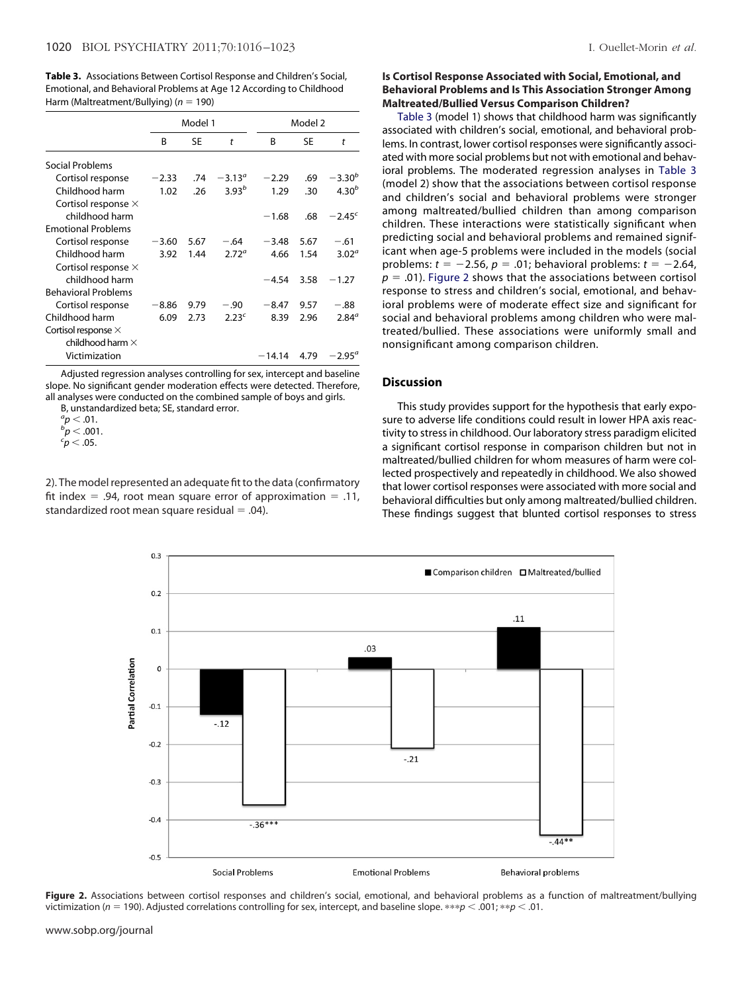<span id="page-4-0"></span>

| Table 3. Associations Between Cortisol Response and Children's Social, |
|------------------------------------------------------------------------|
| Emotional, and Behavioral Problems at Age 12 According to Childhood    |
| Harm (Maltreatment/Bullying) ( $n = 190$ )                             |

|                            | Model 1 |           |                   | Model 2  |      |                   |
|----------------------------|---------|-----------|-------------------|----------|------|-------------------|
|                            | B       | <b>SE</b> | t                 | B        | SE   | t                 |
| Social Problems            |         |           |                   |          |      |                   |
| Cortisol response          | $-2.33$ | .74       | $-3.13^{a}$       | $-2.29$  | .69  | $-3.30^{b}$       |
| Childhood harm             | 1.02    | .26       | $3.93^{b}$        | 1.29     | .30  | $4.30^{b}$        |
| Cortisol response $\times$ |         |           |                   |          |      |                   |
| childhood harm             |         |           |                   | $-1.68$  | .68  | $-2.45^{c}$       |
| <b>Emotional Problems</b>  |         |           |                   |          |      |                   |
| Cortisol response          | $-3.60$ | 5.67      | $-.64$            | $-3.48$  | 5.67 | $-.61$            |
| Childhood harm             | 3.92    | 1.44      | 2.72 <sup>a</sup> | 4.66     | 1.54 | 3.02 <sup>a</sup> |
| Cortisol response $\times$ |         |           |                   |          |      |                   |
| childhood harm             |         |           |                   | $-4.54$  | 3.58 | $-1.27$           |
| <b>Behavioral Problems</b> |         |           |                   |          |      |                   |
| Cortisol response          | $-8.86$ | 9.79      | $-.90$            | $-8.47$  | 9.57 | $-.88$            |
| Childhood harm             | 6.09    | 2.73      | 2.23 <sup>c</sup> | 8.39     | 2.96 | $2.84^{a}$        |
| Cortisol response $\times$ |         |           |                   |          |      |                   |
| childhood harm $\times$    |         |           |                   |          |      |                   |
| Victimization              |         |           |                   | $-14.14$ | 4.79 | $-2.95^a$         |

Adjusted regression analyses controlling for sex, intercept and baseline slope. No significant gender moderation effects were detected. Therefore, all analyses were conducted on the combined sample of boys and girls.

B, unstandardized beta; SE, standard error.

 $b_p < 0.001$ .

 $\epsilon_p$  < .05.

2). The model represented an adequate fit to the data (confirmatory fit index  $= .94$ , root mean square error of approximation  $= .11$ , standardized root mean square residual  $= .04$ ).

# **Is Cortisol Response Associated with Social, Emotional, and Behavioral Problems and Is This Association Stronger Among Maltreated/Bullied Versus Comparison Children?**

[Table 3](#page-4-0) (model 1) shows that childhood harm was significantly associated with children's social, emotional, and behavioral problems. In contrast, lower cortisol responses were significantly associated with more social problems but not with emotional and behavioral problems. The moderated regression analyses in [Table 3](#page-4-0) (model 2) show that the associations between cortisol response and children's social and behavioral problems were stronger among maltreated/bullied children than among comparison children. These interactions were statistically significant when predicting social and behavioral problems and remained significant when age-5 problems were included in the models (social problems:  $t = -2.56$ ,  $p = .01$ ; behavioral problems:  $t = -2.64$ ,  $p = .01$ ). [Figure 2](#page-4-1) shows that the associations between cortisol response to stress and children's social, emotional, and behavioral problems were of moderate effect size and significant for social and behavioral problems among children who were maltreated/bullied. These associations were uniformly small and nonsignificant among comparison children.

# **Discussion**

This study provides support for the hypothesis that early exposure to adverse life conditions could result in lower HPA axis reactivity to stress in childhood. Our laboratory stress paradigm elicited a significant cortisol response in comparison children but not in maltreated/bullied children for whom measures of harm were collected prospectively and repeatedly in childhood. We also showed that lower cortisol responses were associated with more social and behavioral difficulties but only among maltreated/bullied children. These findings suggest that blunted cortisol responses to stress



<span id="page-4-1"></span>

 $a_p^o$   $\leq$  .01.<br> *p*  $\geq$  00.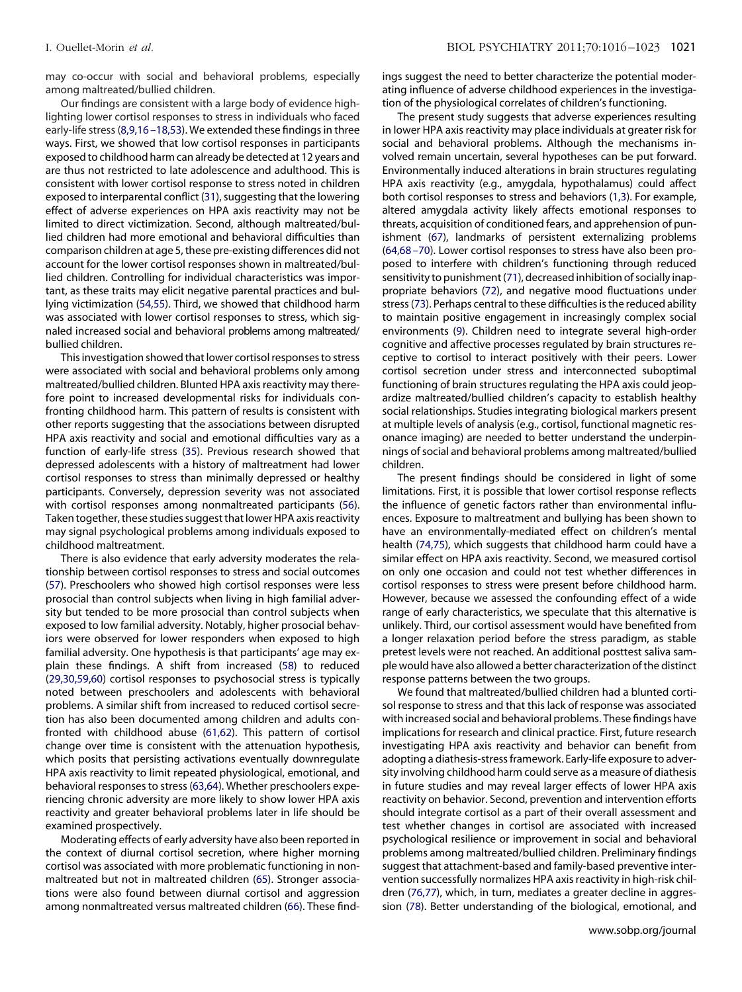may co-occur with social and behavioral problems, especially among maltreated/bullied children.

Our findings are consistent with a large body of evidence highlighting lower cortisol responses to stress in individuals who faced early-life stress [\(8,9,16 –18,53\)](#page-6-4). We extended these findings in three ways. First, we showed that low cortisol responses in participants exposed to childhood harm can already be detected at 12 years and are thus not restricted to late adolescence and adulthood. This is consistent with lower cortisol response to stress noted in children exposed to interparental conflict [\(31\)](#page-6-16), suggesting that the lowering effect of adverse experiences on HPA axis reactivity may not be limited to direct victimization. Second, although maltreated/bullied children had more emotional and behavioral difficulties than comparison children at age 5, these pre-existing differences did not account for the lower cortisol responses shown in maltreated/bullied children. Controlling for individual characteristics was important, as these traits may elicit negative parental practices and bullying victimization [\(54,55\)](#page-7-17). Third, we showed that childhood harm was associated with lower cortisol responses to stress, which signaled increased social and behavioral problems among maltreated/ bullied children.

This investigation showed that lower cortisol responses to stress were associated with social and behavioral problems only among maltreated/bullied children. Blunted HPA axis reactivity may therefore point to increased developmental risks for individuals confronting childhood harm. This pattern of results is consistent with other reports suggesting that the associations between disrupted HPA axis reactivity and social and emotional difficulties vary as a function of early-life stress [\(35\)](#page-7-0). Previous research showed that depressed adolescents with a history of maltreatment had lower cortisol responses to stress than minimally depressed or healthy participants. Conversely, depression severity was not associated with cortisol responses among nonmaltreated participants [\(56\)](#page-7-18). Taken together, these studies suggest that lower HPA axis reactivity may signal psychological problems among individuals exposed to childhood maltreatment.

There is also evidence that early adversity moderates the relationship between cortisol responses to stress and social outcomes [\(57\)](#page-7-19). Preschoolers who showed high cortisol responses were less prosocial than control subjects when living in high familial adversity but tended to be more prosocial than control subjects when exposed to low familial adversity. Notably, higher prosocial behaviors were observed for lower responders when exposed to high familial adversity. One hypothesis is that participants' age may explain these findings. A shift from increased [\(58\)](#page-7-20) to reduced [\(29,30,59,60\)](#page-6-17) cortisol responses to psychosocial stress is typically noted between preschoolers and adolescents with behavioral problems. A similar shift from increased to reduced cortisol secretion has also been documented among children and adults confronted with childhood abuse [\(61,62\)](#page-7-21). This pattern of cortisol change over time is consistent with the attenuation hypothesis, which posits that persisting activations eventually downregulate HPA axis reactivity to limit repeated physiological, emotional, and behavioral responses to stress [\(63,64\)](#page-7-22). Whether preschoolers experiencing chronic adversity are more likely to show lower HPA axis reactivity and greater behavioral problems later in life should be examined prospectively.

Moderating effects of early adversity have also been reported in the context of diurnal cortisol secretion, where higher morning cortisol was associated with more problematic functioning in nonmaltreated but not in maltreated children [\(65\)](#page-7-23). Stronger associations were also found between diurnal cortisol and aggression among nonmaltreated versus maltreated children [\(66\)](#page-7-24). These find-

ings suggest the need to better characterize the potential moderating influence of adverse childhood experiences in the investigation of the physiological correlates of children's functioning.

The present study suggests that adverse experiences resulting in lower HPA axis reactivity may place individuals at greater risk for social and behavioral problems. Although the mechanisms involved remain uncertain, several hypotheses can be put forward. Environmentally induced alterations in brain structures regulating HPA axis reactivity (e.g., amygdala, hypothalamus) could affect both cortisol responses to stress and behaviors [\(1,3\)](#page-6-0). For example, altered amygdala activity likely affects emotional responses to threats, acquisition of conditioned fears, and apprehension of punishment [\(67\)](#page-7-25), landmarks of persistent externalizing problems [\(64,68 –70\)](#page-7-26). Lower cortisol responses to stress have also been proposed to interfere with children's functioning through reduced sensitivity to punishment [\(71\)](#page-7-27), decreased inhibition of socially inappropriate behaviors [\(72\)](#page-7-28), and negative mood fluctuations under stress [\(73\)](#page-7-29). Perhaps central to these difficulties is the reduced ability to maintain positive engagement in increasingly complex social environments [\(9\)](#page-6-18). Children need to integrate several high-order cognitive and affective processes regulated by brain structures receptive to cortisol to interact positively with their peers. Lower cortisol secretion under stress and interconnected suboptimal functioning of brain structures regulating the HPA axis could jeopardize maltreated/bullied children's capacity to establish healthy social relationships. Studies integrating biological markers present at multiple levels of analysis (e.g., cortisol, functional magnetic resonance imaging) are needed to better understand the underpinnings of social and behavioral problems among maltreated/bullied children.

The present findings should be considered in light of some limitations. First, it is possible that lower cortisol response reflects the influence of genetic factors rather than environmental influences. Exposure to maltreatment and bullying has been shown to have an environmentally-mediated effect on children's mental health [\(74,75\)](#page-7-30), which suggests that childhood harm could have a similar effect on HPA axis reactivity. Second, we measured cortisol on only one occasion and could not test whether differences in cortisol responses to stress were present before childhood harm. However, because we assessed the confounding effect of a wide range of early characteristics, we speculate that this alternative is unlikely. Third, our cortisol assessment would have benefited from a longer relaxation period before the stress paradigm, as stable pretest levels were not reached. An additional posttest saliva sample would have also allowed a better characterization of the distinct response patterns between the two groups.

We found that maltreated/bullied children had a blunted cortisol response to stress and that this lack of response was associated with increased social and behavioral problems. These findings have implications for research and clinical practice. First, future research investigating HPA axis reactivity and behavior can benefit from adopting a diathesis-stress framework. Early-life exposure to adversity involving childhood harm could serve as a measure of diathesis in future studies and may reveal larger effects of lower HPA axis reactivity on behavior. Second, prevention and intervention efforts should integrate cortisol as a part of their overall assessment and test whether changes in cortisol are associated with increased psychological resilience or improvement in social and behavioral problems among maltreated/bullied children. Preliminary findings suggest that attachment-based and family-based preventive intervention successfully normalizes HPA axis reactivity in high-risk children [\(76,77\)](#page-7-31), which, in turn, mediates a greater decline in aggression [\(78\)](#page-7-32). Better understanding of the biological, emotional, and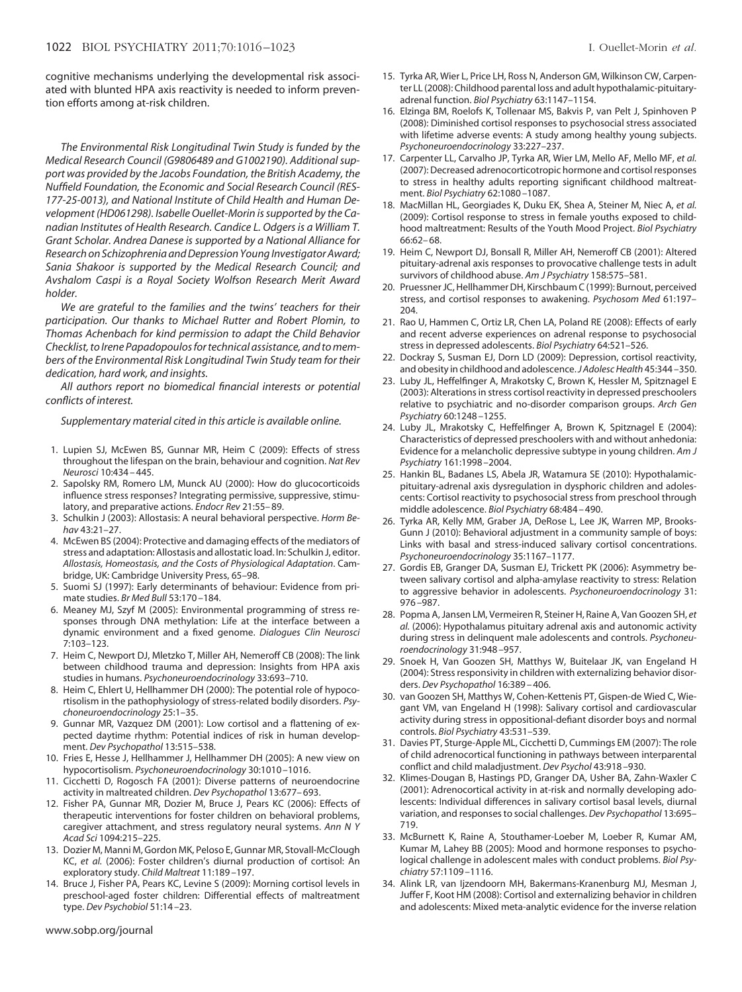cognitive mechanisms underlying the developmental risk associated with blunted HPA axis reactivity is needed to inform prevention efforts among at-risk children.

*The Environmental Risk Longitudinal Twin Study is funded by the Medical Research Council (G9806489 and G1002190). Additional support was provided by the Jacobs Foundation, the British Academy, the Nuffield Foundation, the Economic and Social Research Council (RES-177-25-0013), and National Institute of Child Health and Human Development (HD061298). Isabelle Ouellet-Morin is supported by the Canadian Institutes of Health Research. Candice L. Odgers is a William T. Grant Scholar. Andrea Danese is supported by a National Alliance for Research on Schizophrenia and Depression Young Investigator Award; Sania Shakoor is supported by the Medical Research Council; and Avshalom Caspi is a Royal Society Wolfson Research Merit Award holder.*

*We are grateful to the families and the twins' teachers for their participation. Our thanks to Michael Rutter and Robert Plomin, to Thomas Achenbach for kind permission to adapt the Child Behavior Checklist, to Irene Papadopoulosfor technical assistance, and to members of the Environmental Risk Longitudinal Twin Study team for their dedication, hard work, and insights.*

*All authors report no biomedical financial interests or potential conflicts of interest.*

*Supplementary material cited in this article is available online.*

- <span id="page-6-0"></span>1. Lupien SJ, McEwen BS, Gunnar MR, Heim C (2009): Effects of stress throughout the lifespan on the brain, behaviour and cognition. *Nat Rev Neurosci* 10:434 – 445.
- <span id="page-6-1"></span>2. Sapolsky RM, Romero LM, Munck AU (2000): How do glucocorticoids influence stress responses? Integrating permissive, suppressive, stimulatory, and preparative actions. *Endocr Rev* 21:55– 89.
- 3. Schulkin J (2003): Allostasis: A neural behavioral perspective. *Horm Behav* 43:21–27.
- 4. McEwen BS (2004): Protective and damaging effects of the mediators of stress and adaptation: Allostasis and allostatic load. In: Schulkin J, editor. *Allostasis, Homeostasis, and the Costs of Physiological Adaptation*. Cambridge, UK: Cambridge University Press, 65–98.
- <span id="page-6-2"></span>5. Suomi SJ (1997): Early determinants of behaviour: Evidence from primate studies. *Br Med Bull* 53:170 –184.
- 6. Meaney MJ, Szyf M (2005): Environmental programming of stress responses through DNA methylation: Life at the interface between a dynamic environment and a fixed genome. *Dialogues Clin Neurosci* 7:103–123.
- <span id="page-6-3"></span>7. Heim C, Newport DJ, Mletzko T, Miller AH, Nemeroff CB (2008): The link between childhood trauma and depression: Insights from HPA axis studies in humans. *Psychoneuroendocrinology* 33:693–710.
- <span id="page-6-18"></span><span id="page-6-4"></span>8. Heim C, Ehlert U, Hellhammer DH (2000): The potential role of hypocortisolism in the pathophysiology of stress-related bodily disorders. *Psychoneuroendocrinology* 25:1–35.
- 9. Gunnar MR, Vazquez DM (2001): Low cortisol and a flattening of expected daytime rhythm: Potential indices of risk in human development. *Dev Psychopathol* 13:515–538.
- <span id="page-6-5"></span>10. Fries E, Hesse J, Hellhammer J, Hellhammer DH (2005): A new view on hypocortisolism. *Psychoneuroendocrinology* 30:1010 –1016.
- 11. Cicchetti D, Rogosch FA (2001): Diverse patterns of neuroendocrine activity in maltreated children. *Dev Psychopathol* 13:677– 693.
- 12. Fisher PA, Gunnar MR, Dozier M, Bruce J, Pears KC (2006): Effects of therapeutic interventions for foster children on behavioral problems, caregiver attachment, and stress regulatory neural systems. *Ann N Y Acad Sci* 1094:215–225.
- 13. Dozier M, Manni M, Gordon MK, Peloso E, Gunnar MR, Stovall-McClough KC, *et al.* (2006): Foster children's diurnal production of cortisol: An exploratory study. *Child Maltreat* 11:189 –197.
- 14. Bruce J, Fisher PA, Pears KC, Levine S (2009): Morning cortisol levels in preschool-aged foster children: Differential effects of maltreatment type. *Dev Psychobiol* 51:14 –23.
- <span id="page-6-6"></span>15. Tyrka AR, Wier L, Price LH, Ross N, Anderson GM, Wilkinson CW, Carpenter LL (2008): Childhood parental loss and adult hypothalamic-pituitaryadrenal function. *Biol Psychiatry* 63:1147–1154.
- 16. Elzinga BM, Roelofs K, Tollenaar MS, Bakvis P, van Pelt J, Spinhoven P (2008): Diminished cortisol responses to psychosocial stress associated with lifetime adverse events: A study among healthy young subjects. *Psychoneuroendocrinology* 33:227–237.
- 17. Carpenter LL, Carvalho JP, Tyrka AR, Wier LM, Mello AF, Mello MF, *et al.* (2007): Decreased adrenocorticotropic hormone and cortisol responses to stress in healthy adults reporting significant childhood maltreatment. *Biol Psychiatry* 62:1080 –1087.
- <span id="page-6-7"></span>18. MacMillan HL, Georgiades K, Duku EK, Shea A, Steiner M, Niec A, *et al.* (2009): Cortisol response to stress in female youths exposed to childhood maltreatment: Results of the Youth Mood Project. *Biol Psychiatry* 66:62– 68.
- <span id="page-6-8"></span>19. Heim C, Newport DJ, Bonsall R, Miller AH, Nemeroff CB (2001): Altered pituitary-adrenal axis responses to provocative challenge tests in adult survivors of childhood abuse. *Am J Psychiatry* 158:575–581.
- <span id="page-6-9"></span>20. Pruessner JC, Hellhammer DH, Kirschbaum C (1999): Burnout, perceived stress, and cortisol responses to awakening. *Psychosom Med* 61:197– 204.
- <span id="page-6-10"></span>21. Rao U, Hammen C, Ortiz LR, Chen LA, Poland RE (2008): Effects of early and recent adverse experiences on adrenal response to psychosocial stress in depressed adolescents. *Biol Psychiatry* 64:521–526.
- <span id="page-6-11"></span>22. Dockray S, Susman EJ, Dorn LD (2009): Depression, cortisol reactivity, and obesity in childhood and adolescence.*J Adolesc Health* 45:344 –350.
- 23. Luby JL, Heffelfinger A, Mrakotsky C, Brown K, Hessler M, Spitznagel E (2003): Alterations in stress cortisol reactivity in depressed preschoolers relative to psychiatric and no-disorder comparison groups. *Arch Gen Psychiatry* 60:1248 –1255.
- 24. Luby JL, Mrakotsky C, Heffelfinger A, Brown K, Spitznagel E (2004): Characteristics of depressed preschoolers with and without anhedonia: Evidence for a melancholic depressive subtype in young children. *Am J Psychiatry* 161:1998 –2004.
- <span id="page-6-12"></span>25. Hankin BL, Badanes LS, Abela JR, Watamura SE (2010): Hypothalamicpituitary-adrenal axis dysregulation in dysphoric children and adolescents: Cortisol reactivity to psychosocial stress from preschool through middle adolescence. *Biol Psychiatry* 68:484 – 490.
- <span id="page-6-13"></span>26. Tyrka AR, Kelly MM, Graber JA, DeRose L, Lee JK, Warren MP, Brooks-Gunn J (2010): Behavioral adjustment in a community sample of boys: Links with basal and stress-induced salivary cortisol concentrations. *Psychoneuroendocrinology* 35:1167–1177.
- <span id="page-6-14"></span>27. Gordis EB, Granger DA, Susman EJ, Trickett PK (2006): Asymmetry between salivary cortisol and alpha-amylase reactivity to stress: Relation to aggressive behavior in adolescents. *Psychoneuroendocrinology* 31: 976 –987.
- 28. Popma A, Jansen LM, Vermeiren R, Steiner H, Raine A, Van Goozen SH, *et al.* (2006): Hypothalamus pituitary adrenal axis and autonomic activity during stress in delinquent male adolescents and controls. *Psychoneuroendocrinology* 31:948 –957.
- <span id="page-6-17"></span>29. Snoek H, Van Goozen SH, Matthys W, Buitelaar JK, van Engeland H (2004): Stress responsivity in children with externalizing behavior disorders. *Dev Psychopathol* 16:389 – 406.
- 30. van Goozen SH, Matthys W, Cohen-Kettenis PT, Gispen-de Wied C, Wiegant VM, van Engeland H (1998): Salivary cortisol and cardiovascular activity during stress in oppositional-defiant disorder boys and normal controls. *Biol Psychiatry* 43:531–539.
- <span id="page-6-16"></span><span id="page-6-15"></span>31. Davies PT, Sturge-Apple ML, Cicchetti D, Cummings EM (2007): The role of child adrenocortical functioning in pathways between interparental conflict and child maladjustment. *Dev Psychol* 43:918 –930.
- 32. Klimes-Dougan B, Hastings PD, Granger DA, Usher BA, Zahn-Waxler C (2001): Adrenocortical activity in at-risk and normally developing adolescents: Individual differences in salivary cortisol basal levels, diurnal variation, and responses to social challenges. *Dev Psychopathol* 13:695– 719.
- 33. McBurnett K, Raine A, Stouthamer-Loeber M, Loeber R, Kumar AM, Kumar M, Lahey BB (2005): Mood and hormone responses to psychological challenge in adolescent males with conduct problems. *Biol Psychiatry* 57:1109 –1116.
- 34. Alink LR, van Ijzendoorn MH, Bakermans-Kranenburg MJ, Mesman J, Juffer F, Koot HM (2008): Cortisol and externalizing behavior in children and adolescents: Mixed meta-analytic evidence for the inverse relation